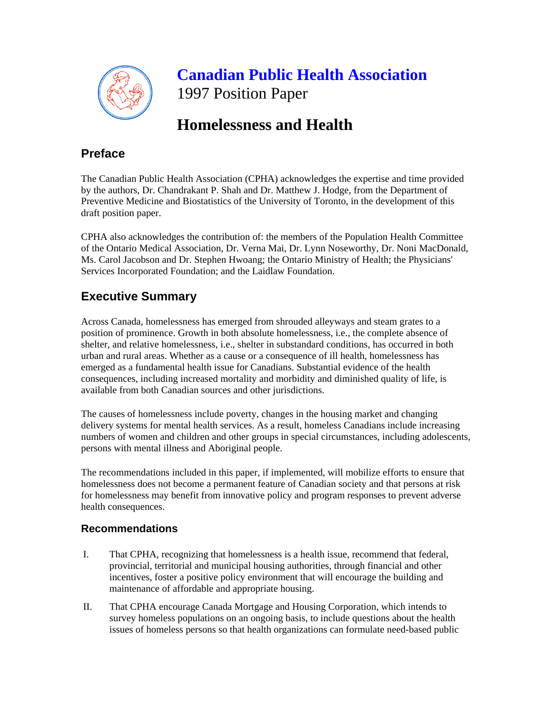

 **Canadian Public Health Association** 1997 Position Paper

# **Homelessness and Health**

## **Preface**

The Canadian Public Health Association (CPHA) acknowledges the expertise and time provided by the authors, Dr. Chandrakant P. Shah and Dr. Matthew J. Hodge, from the Department of Preventive Medicine and Biostatistics of the University of Toronto, in the development of this draft position paper.

CPHA also acknowledges the contribution of: the members of the Population Health Committee of the Ontario Medical Association, Dr. Verna Mai, Dr. Lynn Noseworthy, Dr. Noni MacDonald, Ms. Carol Jacobson and Dr. Stephen Hwoang; the Ontario Ministry of Health; the Physicians' Services Incorporated Foundation; and the Laidlaw Foundation.

## **Executive Summary**

Across Canada, homelessness has emerged from shrouded alleyways and steam grates to a position of prominence. Growth in both absolute homelessness, i.e., the complete absence of shelter, and relative homelessness, i.e., shelter in substandard conditions, has occurred in both urban and rural areas. Whether as a cause or a consequence of ill health, homelessness has emerged as a fundamental health issue for Canadians. Substantial evidence of the health consequences, including increased mortality and morbidity and diminished quality of life, is available from both Canadian sources and other jurisdictions.

The causes of homelessness include poverty, changes in the housing market and changing delivery systems for mental health services. As a result, homeless Canadians include increasing numbers of women and children and other groups in special circumstances, including adolescents, persons with mental illness and Aboriginal people.

The recommendations included in this paper, if implemented, will mobilize efforts to ensure that homelessness does not become a permanent feature of Canadian society and that persons at risk for homelessness may benefit from innovative policy and program responses to prevent adverse health consequences.

## **Recommendations**

- I. That CPHA, recognizing that homelessness is a health issue, recommend that federal, provincial, territorial and municipal housing authorities, through financial and other incentives, foster a positive policy environment that will encourage the building and maintenance of affordable and appropriate housing.
- II. That CPHA encourage Canada Mortgage and Housing Corporation, which intends to survey homeless populations on an ongoing basis, to include questions about the health issues of homeless persons so that health organizations can formulate need-based public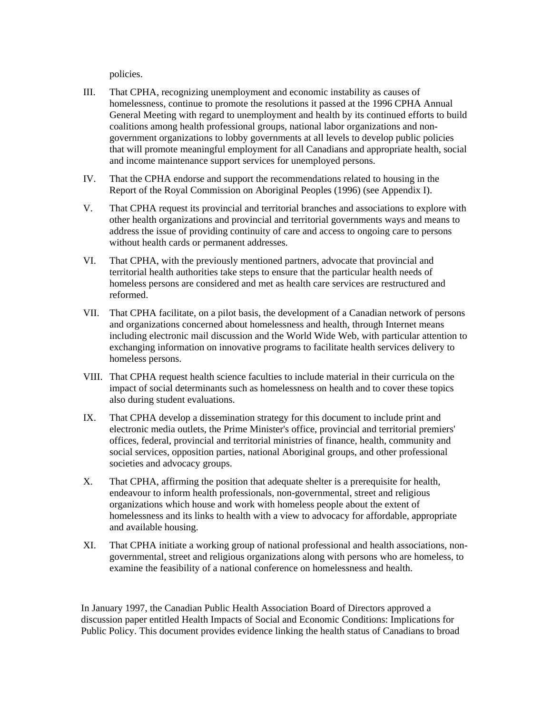policies.

- III. That CPHA, recognizing unemployment and economic instability as causes of homelessness, continue to promote the resolutions it passed at the 1996 CPHA Annual General Meeting with regard to unemployment and health by its continued efforts to build coalitions among health professional groups, national labor organizations and nongovernment organizations to lobby governments at all levels to develop public policies that will promote meaningful employment for all Canadians and appropriate health, social and income maintenance support services for unemployed persons.
- IV. That the CPHA endorse and support the recommendations related to housing in the Report of the Royal Commission on Aboriginal Peoples (1996) (see Appendix I).
- V. That CPHA request its provincial and territorial branches and associations to explore with other health organizations and provincial and territorial governments ways and means to address the issue of providing continuity of care and access to ongoing care to persons without health cards or permanent addresses.
- VI. That CPHA, with the previously mentioned partners, advocate that provincial and territorial health authorities take steps to ensure that the particular health needs of homeless persons are considered and met as health care services are restructured and reformed.
- VII. That CPHA facilitate, on a pilot basis, the development of a Canadian network of persons and organizations concerned about homelessness and health, through Internet means including electronic mail discussion and the World Wide Web, with particular attention to exchanging information on innovative programs to facilitate health services delivery to homeless persons.
- VIII. That CPHA request health science faculties to include material in their curricula on the impact of social determinants such as homelessness on health and to cover these topics also during student evaluations.
- IX. That CPHA develop a dissemination strategy for this document to include print and electronic media outlets, the Prime Minister's office, provincial and territorial premiers' offices, federal, provincial and territorial ministries of finance, health, community and social services, opposition parties, national Aboriginal groups, and other professional societies and advocacy groups.
- X. That CPHA, affirming the position that adequate shelter is a prerequisite for health, endeavour to inform health professionals, non-governmental, street and religious organizations which house and work with homeless people about the extent of homelessness and its links to health with a view to advocacy for affordable, appropriate and available housing.
- XI. That CPHA initiate a working group of national professional and health associations, nongovernmental, street and religious organizations along with persons who are homeless, to examine the feasibility of a national conference on homelessness and health.

In January 1997, the Canadian Public Health Association Board of Directors approved a discussion paper entitled Health Impacts of Social and Economic Conditions: Implications for Public Policy. This document provides evidence linking the health status of Canadians to broad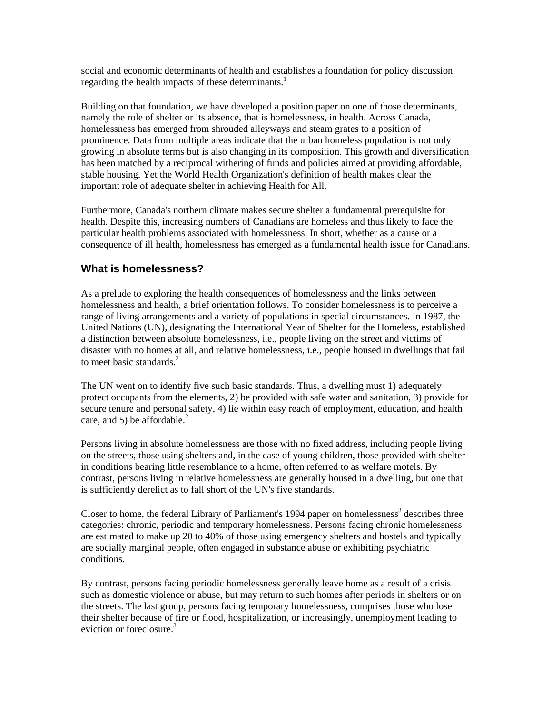social and economic determinants of health and establishes a foundation for policy discussion regarding the health impacts of these determinants.<sup>1</sup>

Building on that foundation, we have developed a position paper on one of those determinants, namely the role of shelter or its absence, that is homelessness, in health. Across Canada, homelessness has emerged from shrouded alleyways and steam grates to a position of prominence. Data from multiple areas indicate that the urban homeless population is not only growing in absolute terms but is also changing in its composition. This growth and diversification has been matched by a reciprocal withering of funds and policies aimed at providing affordable, stable housing. Yet the World Health Organization's definition of health makes clear the important role of adequate shelter in achieving Health for All.

Furthermore, Canada's northern climate makes secure shelter a fundamental prerequisite for health. Despite this, increasing numbers of Canadians are homeless and thus likely to face the particular health problems associated with homelessness. In short, whether as a cause or a consequence of ill health, homelessness has emerged as a fundamental health issue for Canadians.

## **What is homelessness?**

As a prelude to exploring the health consequences of homelessness and the links between homelessness and health, a brief orientation follows. To consider homelessness is to perceive a range of living arrangements and a variety of populations in special circumstances. In 1987, the United Nations (UN), designating the International Year of Shelter for the Homeless, established a distinction between absolute homelessness, i.e., people living on the street and victims of disaster with no homes at all, and relative homelessness, i.e., people housed in dwellings that fail to meet basic standards.<sup>2</sup>

The UN went on to identify five such basic standards. Thus, a dwelling must 1) adequately protect occupants from the elements, 2) be provided with safe water and sanitation, 3) provide for secure tenure and personal safety, 4) lie within easy reach of employment, education, and health care, and 5) be affordable.<sup>2</sup>

Persons living in absolute homelessness are those with no fixed address, including people living on the streets, those using shelters and, in the case of young children, those provided with shelter in conditions bearing little resemblance to a home, often referred to as welfare motels. By contrast, persons living in relative homelessness are generally housed in a dwelling, but one that is sufficiently derelict as to fall short of the UN's five standards.

Closer to home, the federal Library of Parliament's 1994 paper on homelessness<sup>3</sup> describes three categories: chronic, periodic and temporary homelessness. Persons facing chronic homelessness are estimated to make up 20 to 40% of those using emergency shelters and hostels and typically are socially marginal people, often engaged in substance abuse or exhibiting psychiatric conditions.

By contrast, persons facing periodic homelessness generally leave home as a result of a crisis such as domestic violence or abuse, but may return to such homes after periods in shelters or on the streets. The last group, persons facing temporary homelessness, comprises those who lose their shelter because of fire or flood, hospitalization, or increasingly, unemployment leading to eviction or foreclosure.<sup>3</sup>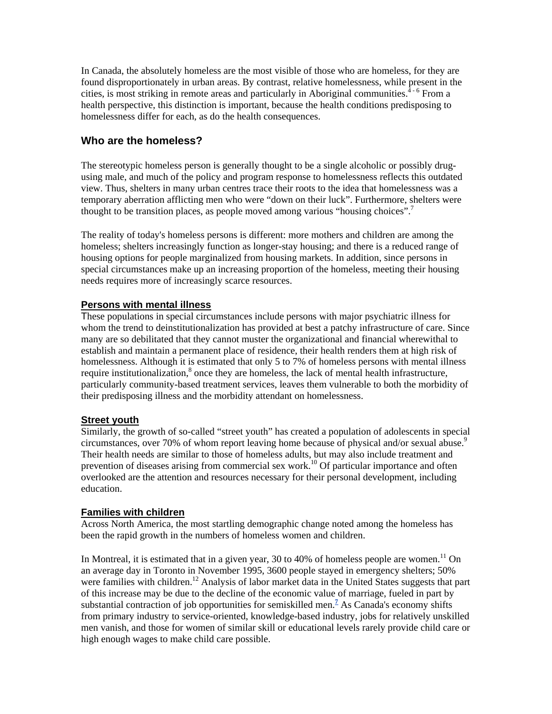In Canada, the absolutely homeless are the most visible of those who are homeless, for they are found disproportionately in urban areas. By contrast, relative homelessness, while present in the cities, is most striking in remote areas and particularly in Aboriginal communities.<sup>4-6</sup> From a health perspective, this distinction is important, because the health conditions predisposing to homelessness differ for each, as do the health consequences.

## **Who are the homeless?**

The stereotypic homeless person is generally thought to be a single alcoholic or possibly drugusing male, and much of the policy and program response to homelessness reflects this outdated view. Thus, shelters in many urban centres trace their roots to the idea that homelessness was a temporary aberration afflicting men who were "down on their luck". Furthermore, shelters were thought to be transition places, as people moved among various "housing choices".<sup>7</sup>

The reality of today's homeless persons is different: more mothers and children are among the homeless; shelters increasingly function as longer-stay housing; and there is a reduced range of housing options for people marginalized from housing markets. In addition, since persons in special circumstances make up an increasing proportion of the homeless, meeting their housing needs requires more of increasingly scarce resources.

### **Persons with mental illness**

These populations in special circumstances include persons with major psychiatric illness for whom the trend to deinstitutionalization has provided at best a patchy infrastructure of care. Since many are so debilitated that they cannot muster the organizational and financial wherewithal to establish and maintain a permanent place of residence, their health renders them at high risk of homelessness. Although it is estimated that only 5 to 7% of homeless persons with mental illness require institutionalization, $\delta$  once they are homeless, the lack of mental health infrastructure, particularly community-based treatment services, leaves them vulnerable to both the morbidity of their predisposing illness and the morbidity attendant on homelessness.

#### **Street youth**

Similarly, the growth of so-called "street youth" has created a population of adolescents in special circumstances, over 70% of whom report leaving home because of physical and/or sexual abuse.<sup>9</sup> Their health needs are similar to those of homeless adults, but may also include treatment and prevention of diseases arising from commercial sex work.<sup>10</sup> Of particular importance and often overlooked are the attention and resources necessary for their personal development, including education.

## **Families with children**

Across North America, the most startling demographic change noted among the homeless has been the rapid growth in the numbers of homeless women and children.

In Montreal, it is estimated that in a given year, 30 to 40% of homeless people are women.<sup>11</sup> On an average day in Toronto in November 1995, 3600 people stayed in emergency shelters; 50% were families with children.<sup>12</sup> Analysis of labor market data in the United States suggests that part of this increase may be due to the decline of the economic value of marriage, fueled in part by substantial contraction of job opportunities for semiskilled men.<sup>7</sup> As Canada's economy shifts from primary industry to service-oriented, knowledge-based industry, jobs for relatively unskilled men vanish, and those for women of similar skill or educational levels rarely provide child care or high enough wages to make child care possible.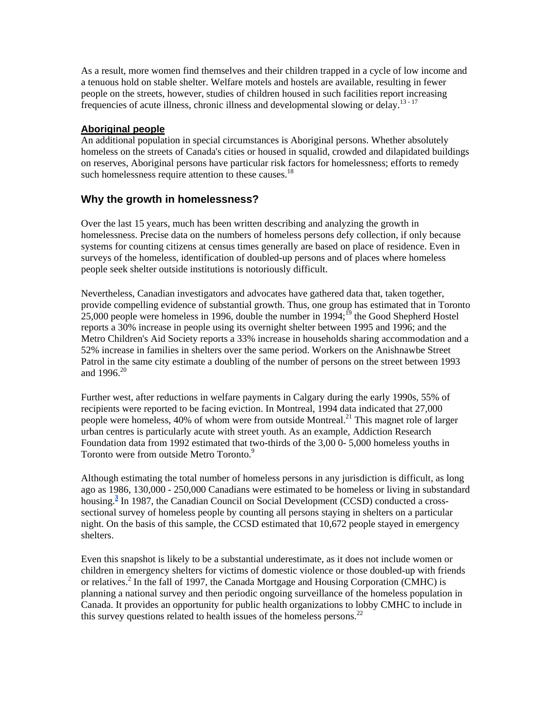As a result, more women find themselves and their children trapped in a cycle of low income and a tenuous hold on stable shelter. Welfare motels and hostels are available, resulting in fewer people on the streets, however, studies of children housed in such facilities report increasing frequencies of acute illness, chronic illness and developmental slowing or delay.<sup>13-17</sup>

## **Aboriginal people**

An additional population in special circumstances is Aboriginal persons. Whether absolutely homeless on the streets of Canada's cities or housed in squalid, crowded and dilapidated buildings on reserves, Aboriginal persons have particular risk factors for homelessness; efforts to remedy such homelessness require attention to these causes.<sup>18</sup>

### **Why the growth in homelessness?**

Over the last 15 years, much has been written describing and analyzing the growth in homelessness. Precise data on the numbers of homeless persons defy collection, if only because systems for counting citizens at census times generally are based on place of residence. Even in surveys of the homeless, identification of doubled-up persons and of places where homeless people seek shelter outside institutions is notoriously difficult.

Nevertheless, Canadian investigators and advocates have gathered data that, taken together, provide compelling evidence of substantial growth. Thus, one group has estimated that in Toronto 25,000 people were homeless in 1996, double the number in  $1994$ ;<sup>19</sup> the Good Shepherd Hostel reports a 30% increase in people using its overnight shelter between 1995 and 1996; and the Metro Children's Aid Society reports a 33% increase in households sharing accommodation and a 52% increase in families in shelters over the same period. Workers on the Anishnawbe Street Patrol in the same city estimate a doubling of the number of persons on the street between 1993 and  $1996.^{20}$ 

Further west, after reductions in welfare payments in Calgary during the early 1990s, 55% of recipients were reported to be facing eviction. In Montreal, 1994 data indicated that 27,000 people were homeless, 40% of whom were from outside Montreal.<sup>21</sup> This magnet role of larger urban centres is particularly acute with street youth. As an example, Addiction Research Foundation data from 1992 estimated that two-thirds of the 3,00 0- 5,000 homeless youths in Toronto were from outside Metro Toronto.<sup>9</sup>

Although estimating the total number of homeless persons in any jurisdiction is difficult, as long ago as 1986, 130,000 - 250,000 Canadians were estimated to be homeless or living in substandard housing.**<sup>3</sup>** In 1987, the Canadian Council on Social Development (CCSD) conducted a crosssectional survey of homeless people by counting all persons staying in shelters on a particular night. On the basis of this sample, the CCSD estimated that 10,672 people stayed in emergency shelters.

Even this snapshot is likely to be a substantial underestimate, as it does not include women or children in emergency shelters for victims of domestic violence or those doubled-up with friends or relatives.<sup>2</sup> In the fall of 1997, the Canada Mortgage and Housing Corporation (CMHC) is planning a national survey and then periodic ongoing surveillance of the homeless population in Canada. It provides an opportunity for public health organizations to lobby CMHC to include in this survey questions related to health issues of the homeless persons.<sup>22</sup>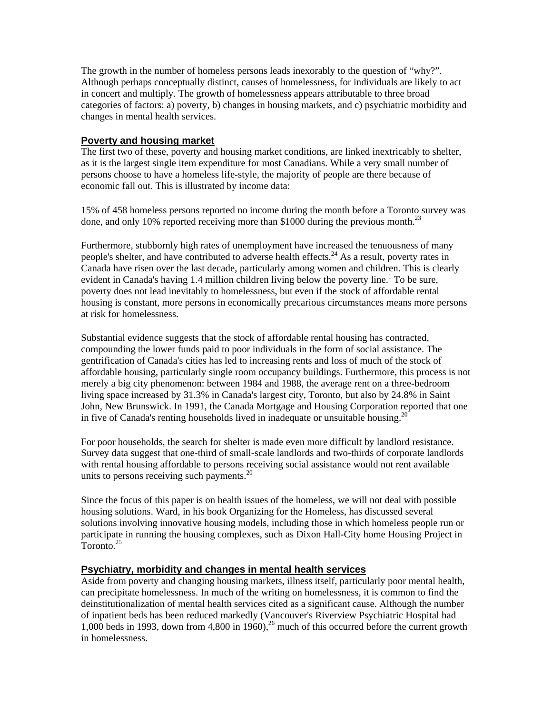The growth in the number of homeless persons leads inexorably to the question of "why?". Although perhaps conceptually distinct, causes of homelessness, for individuals are likely to act in concert and multiply. The growth of homelessness appears attributable to three broad categories of factors: a) poverty, b) changes in housing markets, and c) psychiatric morbidity and changes in mental health services.

#### **Poverty and housing market**

The first two of these, poverty and housing market conditions, are linked inextricably to shelter, as it is the largest single item expenditure for most Canadians. While a very small number of persons choose to have a homeless life-style, the majority of people are there because of economic fall out. This is illustrated by income data:

15% of 458 homeless persons reported no income during the month before a Toronto survey was done, and only 10% reported receiving more than \$1000 during the previous month.<sup>23</sup>

Furthermore, stubbornly high rates of unemployment have increased the tenuousness of many people's shelter, and have contributed to adverse health effects.<sup>24</sup> As a result, poverty rates in Canada have risen over the last decade, particularly among women and children. This is clearly evident in Canada's having 1.4 million children living below the poverty line.<sup>1</sup> To be sure, poverty does not lead inevitably to homelessness, but even if the stock of affordable rental housing is constant, more persons in economically precarious circumstances means more persons at risk for homelessness.

Substantial evidence suggests that the stock of affordable rental housing has contracted, compounding the lower funds paid to poor individuals in the form of social assistance. The gentrification of Canada's cities has led to increasing rents and loss of much of the stock of affordable housing, particularly single room occupancy buildings. Furthermore, this process is not merely a big city phenomenon: between 1984 and 1988, the average rent on a three-bedroom living space increased by 31.3% in Canada's largest city, Toronto, but also by 24.8% in Saint John, New Brunswick. In 1991, the Canada Mortgage and Housing Corporation reported that one in five of Canada's renting households lived in inadequate or unsuitable housing.<sup>20</sup>

For poor households, the search for shelter is made even more difficult by landlord resistance. Survey data suggest that one-third of small-scale landlords and two-thirds of corporate landlords with rental housing affordable to persons receiving social assistance would not rent available units to persons receiving such payments.<sup>20</sup>

Since the focus of this paper is on health issues of the homeless, we will not deal with possible housing solutions. Ward, in his book Organizing for the Homeless, has discussed several solutions involving innovative housing models, including those in which homeless people run or participate in running the housing complexes, such as Dixon Hall-City home Housing Project in Toronto<sup>25</sup>

#### **Psychiatry, morbidity and changes in mental health services**

Aside from poverty and changing housing markets, illness itself, particularly poor mental health, can precipitate homelessness. In much of the writing on homelessness, it is common to find the deinstitutionalization of mental health services cited as a significant cause. Although the number of inpatient beds has been reduced markedly (Vancouver's Riverview Psychiatric Hospital had 1,000 beds in 1993, down from 4,800 in 1960),<sup>26</sup> much of this occurred before the current growth in homelessness.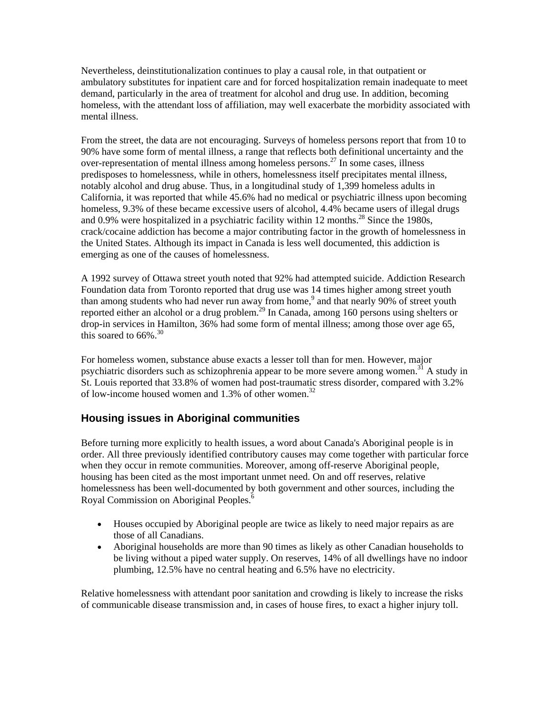Nevertheless, deinstitutionalization continues to play a causal role, in that outpatient or ambulatory substitutes for inpatient care and for forced hospitalization remain inadequate to meet demand, particularly in the area of treatment for alcohol and drug use. In addition, becoming homeless, with the attendant loss of affiliation, may well exacerbate the morbidity associated with mental illness.

From the street, the data are not encouraging. Surveys of homeless persons report that from 10 to 90% have some form of mental illness, a range that reflects both definitional uncertainty and the over-representation of mental illness among homeless persons.<sup>27</sup> In some cases, illness predisposes to homelessness, while in others, homelessness itself precipitates mental illness, notably alcohol and drug abuse. Thus, in a longitudinal study of 1,399 homeless adults in California, it was reported that while 45.6% had no medical or psychiatric illness upon becoming homeless, 9.3% of these became excessive users of alcohol, 4.4% became users of illegal drugs and 0.9% were hospitalized in a psychiatric facility within 12 months.<sup>28</sup> Since the 1980s, crack/cocaine addiction has become a major contributing factor in the growth of homelessness in the United States. Although its impact in Canada is less well documented, this addiction is emerging as one of the causes of homelessness.

A 1992 survey of Ottawa street youth noted that 92% had attempted suicide. Addiction Research Foundation data from Toronto reported that drug use was 14 times higher among street youth than among students who had never run away from home,<sup>9</sup> and that nearly 90% of street youth reported either an alcohol or a drug problem.<sup>29</sup> In Canada, among 160 persons using shelters or drop-in services in Hamilton, 36% had some form of mental illness; among those over age 65, this soared to  $66\%$ .<sup>30</sup>

For homeless women, substance abuse exacts a lesser toll than for men. However, major psychiatric disorders such as schizophrenia appear to be more severe among women.<sup>31</sup> A study in St. Louis reported that 33.8% of women had post-traumatic stress disorder, compared with 3.2% of low-income housed women and 1.3% of other women.<sup>32</sup>

## **Housing issues in Aboriginal communities**

Before turning more explicitly to health issues, a word about Canada's Aboriginal people is in order. All three previously identified contributory causes may come together with particular force when they occur in remote communities. Moreover, among off-reserve Aboriginal people, housing has been cited as the most important unmet need. On and off reserves, relative homelessness has been well-documented by both government and other sources, including the Royal Commission on Aboriginal Peoples.<sup>6</sup>

- Houses occupied by Aboriginal people are twice as likely to need major repairs as are those of all Canadians.
- Aboriginal households are more than 90 times as likely as other Canadian households to be living without a piped water supply. On reserves, 14% of all dwellings have no indoor plumbing, 12.5% have no central heating and 6.5% have no electricity.

Relative homelessness with attendant poor sanitation and crowding is likely to increase the risks of communicable disease transmission and, in cases of house fires, to exact a higher injury toll.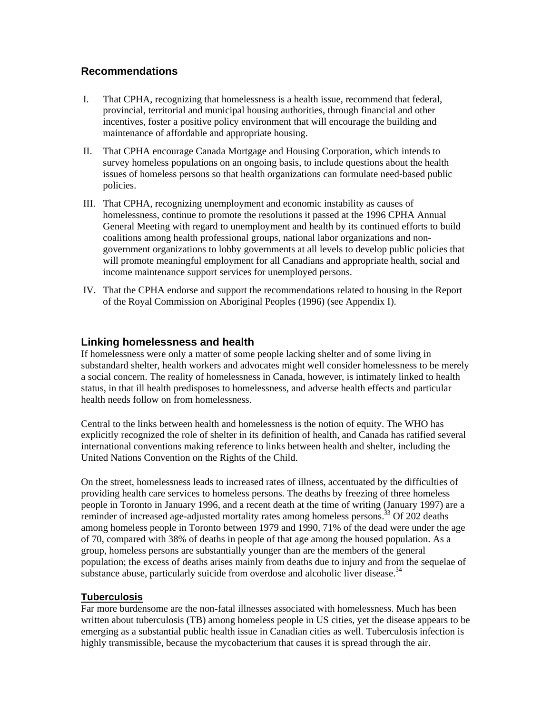## **Recommendations**

- I. That CPHA, recognizing that homelessness is a health issue, recommend that federal, provincial, territorial and municipal housing authorities, through financial and other incentives, foster a positive policy environment that will encourage the building and maintenance of affordable and appropriate housing.
- II. That CPHA encourage Canada Mortgage and Housing Corporation, which intends to survey homeless populations on an ongoing basis, to include questions about the health issues of homeless persons so that health organizations can formulate need-based public policies.
- III. That CPHA, recognizing unemployment and economic instability as causes of homelessness, continue to promote the resolutions it passed at the 1996 CPHA Annual General Meeting with regard to unemployment and health by its continued efforts to build coalitions among health professional groups, national labor organizations and nongovernment organizations to lobby governments at all levels to develop public policies that will promote meaningful employment for all Canadians and appropriate health, social and income maintenance support services for unemployed persons.
- IV. That the CPHA endorse and support the recommendations related to housing in the Report of the Royal Commission on Aboriginal Peoples (1996) (see Appendix I).

## **Linking homelessness and health**

If homelessness were only a matter of some people lacking shelter and of some living in substandard shelter, health workers and advocates might well consider homelessness to be merely a social concern. The reality of homelessness in Canada, however, is intimately linked to health status, in that ill health predisposes to homelessness, and adverse health effects and particular health needs follow on from homelessness.

Central to the links between health and homelessness is the notion of equity. The WHO has explicitly recognized the role of shelter in its definition of health, and Canada has ratified several international conventions making reference to links between health and shelter, including the United Nations Convention on the Rights of the Child.

On the street, homelessness leads to increased rates of illness, accentuated by the difficulties of providing health care services to homeless persons. The deaths by freezing of three homeless people in Toronto in January 1996, and a recent death at the time of writing (January 1997) are a reminder of increased age-adjusted mortality rates among homeless persons.<sup>33</sup> Of 202 deaths among homeless people in Toronto between 1979 and 1990, 71% of the dead were under the age of 70, compared with 38% of deaths in people of that age among the housed population. As a group, homeless persons are substantially younger than are the members of the general population; the excess of deaths arises mainly from deaths due to injury and from the sequelae of substance abuse, particularly suicide from overdose and alcoholic liver disease.<sup>34</sup>

#### **Tuberculosis**

Far more burdensome are the non-fatal illnesses associated with homelessness. Much has been written about tuberculosis (TB) among homeless people in US cities, yet the disease appears to be emerging as a substantial public health issue in Canadian cities as well. Tuberculosis infection is highly transmissible, because the mycobacterium that causes it is spread through the air.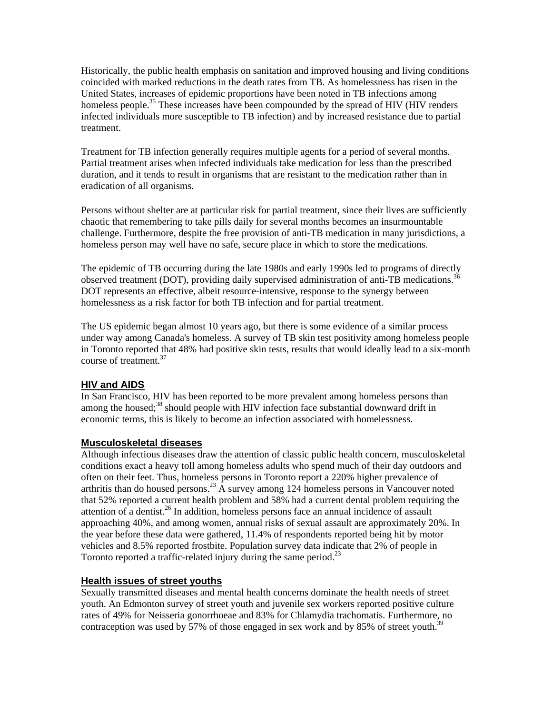Historically, the public health emphasis on sanitation and improved housing and living conditions coincided with marked reductions in the death rates from TB. As homelessness has risen in the United States, increases of epidemic proportions have been noted in TB infections among homeless people.<sup>35</sup> These increases have been compounded by the spread of HIV (HIV renders infected individuals more susceptible to TB infection) and by increased resistance due to partial treatment.

Treatment for TB infection generally requires multiple agents for a period of several months. Partial treatment arises when infected individuals take medication for less than the prescribed duration, and it tends to result in organisms that are resistant to the medication rather than in eradication of all organisms.

Persons without shelter are at particular risk for partial treatment, since their lives are sufficiently chaotic that remembering to take pills daily for several months becomes an insurmountable challenge. Furthermore, despite the free provision of anti-TB medication in many jurisdictions, a homeless person may well have no safe, secure place in which to store the medications.

The epidemic of TB occurring during the late 1980s and early 1990s led to programs of directly observed treatment (DOT), providing daily supervised administration of anti-TB medications.<sup>36</sup> DOT represents an effective, albeit resource-intensive, response to the synergy between homelessness as a risk factor for both TB infection and for partial treatment.

The US epidemic began almost 10 years ago, but there is some evidence of a similar process under way among Canada's homeless. A survey of TB skin test positivity among homeless people in Toronto reported that 48% had positive skin tests, results that would ideally lead to a six-month course of treatment.<sup>37</sup>

## **HIV and AIDS**

In San Francisco, HIV has been reported to be more prevalent among homeless persons than among the housed; $38$  should people with HIV infection face substantial downward drift in economic terms, this is likely to become an infection associated with homelessness.

#### **Musculoskeletal diseases**

Although infectious diseases draw the attention of classic public health concern, musculoskeletal conditions exact a heavy toll among homeless adults who spend much of their day outdoors and often on their feet. Thus, homeless persons in Toronto report a 220% higher prevalence of arthritis than do housed persons.<sup>23</sup> A survey among 124 homeless persons in Vancouver noted that 52% reported a current health problem and 58% had a current dental problem requiring the attention of a dentist.<sup>26</sup> In addition, homeless persons face an annual incidence of assault approaching 40%, and among women, annual risks of sexual assault are approximately 20%. In the year before these data were gathered, 11.4% of respondents reported being hit by motor vehicles and 8.5% reported frostbite. Population survey data indicate that 2% of people in Toronto reported a traffic-related injury during the same period.<sup>23</sup>

#### **Health issues of street youths**

Sexually transmitted diseases and mental health concerns dominate the health needs of street youth. An Edmonton survey of street youth and juvenile sex workers reported positive culture rates of 49% for Neisseria gonorrhoeae and 83% for Chlamydia trachomatis. Furthermore, no contraception was used by 57% of those engaged in sex work and by 85% of street youth.<sup>39</sup>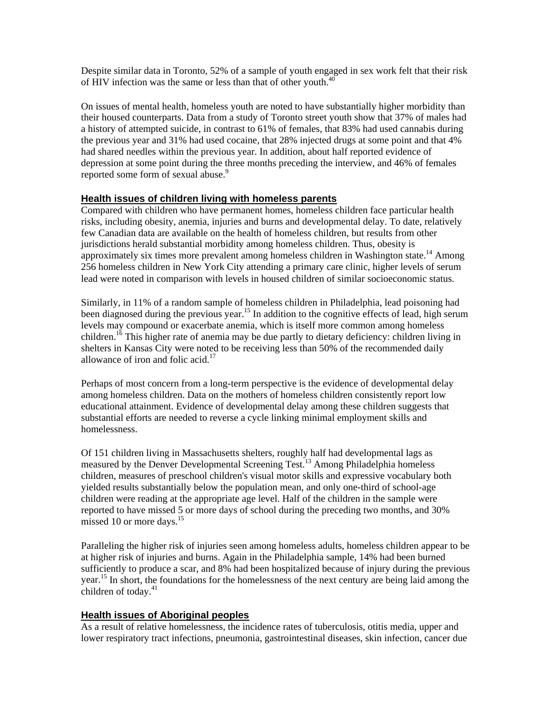Despite similar data in Toronto, 52% of a sample of youth engaged in sex work felt that their risk of HIV infection was the same or less than that of other youth. $40$ 

On issues of mental health, homeless youth are noted to have substantially higher morbidity than their housed counterparts. Data from a study of Toronto street youth show that 37% of males had a history of attempted suicide, in contrast to 61% of females, that 83% had used cannabis during the previous year and 31% had used cocaine, that 28% injected drugs at some point and that 4% had shared needles within the previous year. In addition, about half reported evidence of depression at some point during the three months preceding the interview, and 46% of females reported some form of sexual abuse.<sup>9</sup>

#### **Health issues of children living with homeless parents**

Compared with children who have permanent homes, homeless children face particular health risks, including obesity, anemia, injuries and burns and developmental delay. To date, relatively few Canadian data are available on the health of homeless children, but results from other jurisdictions herald substantial morbidity among homeless children. Thus, obesity is approximately six times more prevalent among homeless children in Washington state.<sup>14</sup> Among 256 homeless children in New York City attending a primary care clinic, higher levels of serum lead were noted in comparison with levels in housed children of similar socioeconomic status.

Similarly, in 11% of a random sample of homeless children in Philadelphia, lead poisoning had been diagnosed during the previous year.<sup>15</sup> In addition to the cognitive effects of lead, high serum levels may compound or exacerbate anemia, which is itself more common among homeless children.<sup>16</sup> This higher rate of anemia may be due partly to dietary deficiency: children living in shelters in Kansas City were noted to be receiving less than 50% of the recommended daily allowance of iron and folic acid.<sup>17</sup>

Perhaps of most concern from a long-term perspective is the evidence of developmental delay among homeless children. Data on the mothers of homeless children consistently report low educational attainment. Evidence of developmental delay among these children suggests that substantial efforts are needed to reverse a cycle linking minimal employment skills and homelessness.

Of 151 children living in Massachusetts shelters, roughly half had developmental lags as measured by the Denver Developmental Screening Test.<sup>13</sup> Among Philadelphia homeless children, measures of preschool children's visual motor skills and expressive vocabulary both yielded results substantially below the population mean, and only one-third of school-age children were reading at the appropriate age level. Half of the children in the sample were reported to have missed 5 or more days of school during the preceding two months, and 30% missed 10 or more days. $15$ 

Paralleling the higher risk of injuries seen among homeless adults, homeless children appear to be at higher risk of injuries and burns. Again in the Philadelphia sample, 14% had been burned sufficiently to produce a scar, and 8% had been hospitalized because of injury during the previous year.<sup>15</sup> In short, the foundations for the homelessness of the next century are being laid among the children of today. $41$ 

#### **Health issues of Aboriginal peoples**

As a result of relative homelessness, the incidence rates of tuberculosis, otitis media, upper and lower respiratory tract infections, pneumonia, gastrointestinal diseases, skin infection, cancer due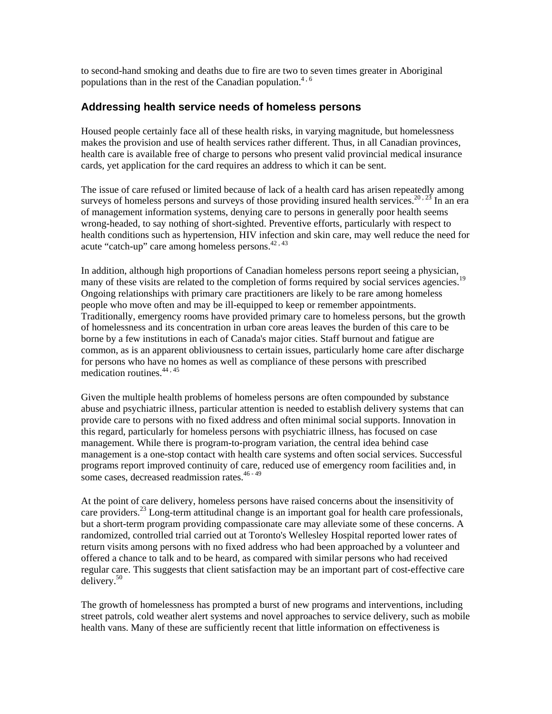to second-hand smoking and deaths due to fire are two to seven times greater in Aboriginal populations than in the rest of the Canadian population.<sup>4, 6</sup>

### **Addressing health service needs of homeless persons**

Housed people certainly face all of these health risks, in varying magnitude, but homelessness makes the provision and use of health services rather different. Thus, in all Canadian provinces, health care is available free of charge to persons who present valid provincial medical insurance cards, yet application for the card requires an address to which it can be sent.

The issue of care refused or limited because of lack of a health card has arisen repeatedly among surveys of homeless persons and surveys of those providing insured health services.<sup>20,23</sup> In an era of management information systems, denying care to persons in generally poor health seems wrong-headed, to say nothing of short-sighted. Preventive efforts, particularly with respect to health conditions such as hypertension, HIV infection and skin care, may well reduce the need for acute "catch-up" care among homeless persons. $42,43$ 

In addition, although high proportions of Canadian homeless persons report seeing a physician, many of these visits are related to the completion of forms required by social services agencies. Ongoing relationships with primary care practitioners are likely to be rare among homeless people who move often and may be ill-equipped to keep or remember appointments. Traditionally, emergency rooms have provided primary care to homeless persons, but the growth of homelessness and its concentration in urban core areas leaves the burden of this care to be borne by a few institutions in each of Canada's major cities. Staff burnout and fatigue are common, as is an apparent obliviousness to certain issues, particularly home care after discharge for persons who have no homes as well as compliance of these persons with prescribed medication routines.<sup>44,45</sup>

Given the multiple health problems of homeless persons are often compounded by substance abuse and psychiatric illness, particular attention is needed to establish delivery systems that can provide care to persons with no fixed address and often minimal social supports. Innovation in this regard, particularly for homeless persons with psychiatric illness, has focused on case management. While there is program-to-program variation, the central idea behind case management is a one-stop contact with health care systems and often social services. Successful programs report improved continuity of care, reduced use of emergency room facilities and, in some cases, decreased readmission rates.<sup>46 - 49</sup>

At the point of care delivery, homeless persons have raised concerns about the insensitivity of care providers.<sup>23</sup> Long-term attitudinal change is an important goal for health care professionals, but a short-term program providing compassionate care may alleviate some of these concerns. A randomized, controlled trial carried out at Toronto's Wellesley Hospital reported lower rates of return visits among persons with no fixed address who had been approached by a volunteer and offered a chance to talk and to be heard, as compared with similar persons who had received regular care. This suggests that client satisfaction may be an important part of cost-effective care delivery.50

The growth of homelessness has prompted a burst of new programs and interventions, including street patrols, cold weather alert systems and novel approaches to service delivery, such as mobile health vans. Many of these are sufficiently recent that little information on effectiveness is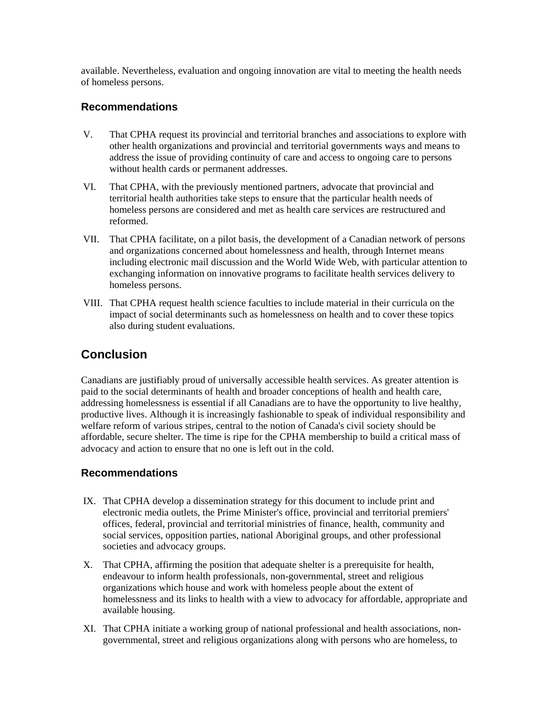available. Nevertheless, evaluation and ongoing innovation are vital to meeting the health needs of homeless persons.

## **Recommendations**

- V. That CPHA request its provincial and territorial branches and associations to explore with other health organizations and provincial and territorial governments ways and means to address the issue of providing continuity of care and access to ongoing care to persons without health cards or permanent addresses.
- VI. That CPHA, with the previously mentioned partners, advocate that provincial and territorial health authorities take steps to ensure that the particular health needs of homeless persons are considered and met as health care services are restructured and reformed.
- VII. That CPHA facilitate, on a pilot basis, the development of a Canadian network of persons and organizations concerned about homelessness and health, through Internet means including electronic mail discussion and the World Wide Web, with particular attention to exchanging information on innovative programs to facilitate health services delivery to homeless persons.
- VIII. That CPHA request health science faculties to include material in their curricula on the impact of social determinants such as homelessness on health and to cover these topics also during student evaluations.

## **Conclusion**

Canadians are justifiably proud of universally accessible health services. As greater attention is paid to the social determinants of health and broader conceptions of health and health care, addressing homelessness is essential if all Canadians are to have the opportunity to live healthy, productive lives. Although it is increasingly fashionable to speak of individual responsibility and welfare reform of various stripes, central to the notion of Canada's civil society should be affordable, secure shelter. The time is ripe for the CPHA membership to build a critical mass of advocacy and action to ensure that no one is left out in the cold.

## **Recommendations**

- IX. That CPHA develop a dissemination strategy for this document to include print and electronic media outlets, the Prime Minister's office, provincial and territorial premiers' offices, federal, provincial and territorial ministries of finance, health, community and social services, opposition parties, national Aboriginal groups, and other professional societies and advocacy groups.
- X. That CPHA, affirming the position that adequate shelter is a prerequisite for health, endeavour to inform health professionals, non-governmental, street and religious organizations which house and work with homeless people about the extent of homelessness and its links to health with a view to advocacy for affordable, appropriate and available housing.
- XI. That CPHA initiate a working group of national professional and health associations, nongovernmental, street and religious organizations along with persons who are homeless, to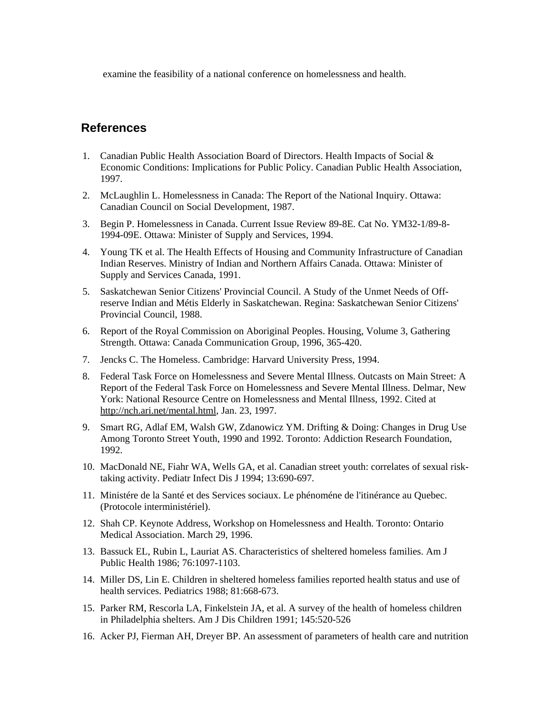examine the feasibility of a national conference on homelessness and health.

## **References**

- 1. Canadian Public Health Association Board of Directors. Health Impacts of Social & Economic Conditions: Implications for Public Policy. Canadian Public Health Association, 1997.
- 2. McLaughlin L. Homelessness in Canada: The Report of the National Inquiry. Ottawa: Canadian Council on Social Development, 1987.
- 3. Begin P. Homelessness in Canada. Current Issue Review 89-8E. Cat No. YM32-1/89-8- 1994-09E. Ottawa: Minister of Supply and Services, 1994.
- 4. Young TK et al. The Health Effects of Housing and Community Infrastructure of Canadian Indian Reserves. Ministry of Indian and Northern Affairs Canada. Ottawa: Minister of Supply and Services Canada, 1991.
- 5. Saskatchewan Senior Citizens' Provincial Council. A Study of the Unmet Needs of Offreserve Indian and Métis Elderly in Saskatchewan. Regina: Saskatchewan Senior Citizens' Provincial Council, 1988.
- 6. Report of the Royal Commission on Aboriginal Peoples. Housing, Volume 3, Gathering Strength. Ottawa: Canada Communication Group, 1996, 365-420.
- 7. Jencks C. The Homeless. Cambridge: Harvard University Press, 1994.
- 8. Federal Task Force on Homelessness and Severe Mental Illness. Outcasts on Main Street: A Report of the Federal Task Force on Homelessness and Severe Mental Illness. Delmar, New York: National Resource Centre on Homelessness and Mental Illness, 1992. Cited at http://nch.ari.net/mental.html, Jan. 23, 1997.
- 9. Smart RG, Adlaf EM, Walsh GW, Zdanowicz YM. Drifting & Doing: Changes in Drug Use Among Toronto Street Youth, 1990 and 1992. Toronto: Addiction Research Foundation, 1992.
- 10. MacDonald NE, Fiahr WA, Wells GA, et al. Canadian street youth: correlates of sexual risktaking activity. Pediatr Infect Dis J 1994; 13:690-697.
- 11. Ministére de la Santé et des Services sociaux. Le phénoméne de l'itinérance au Quebec. (Protocole interministériel).
- 12. Shah CP. Keynote Address, Workshop on Homelessness and Health. Toronto: Ontario Medical Association. March 29, 1996.
- 13. Bassuck EL, Rubin L, Lauriat AS. Characteristics of sheltered homeless families. Am J Public Health 1986; 76:1097-1103.
- 14. Miller DS, Lin E. Children in sheltered homeless families reported health status and use of health services. Pediatrics 1988; 81:668-673.
- 15. Parker RM, Rescorla LA, Finkelstein JA, et al. A survey of the health of homeless children in Philadelphia shelters. Am J Dis Children 1991; 145:520-526
- 16. Acker PJ, Fierman AH, Dreyer BP. An assessment of parameters of health care and nutrition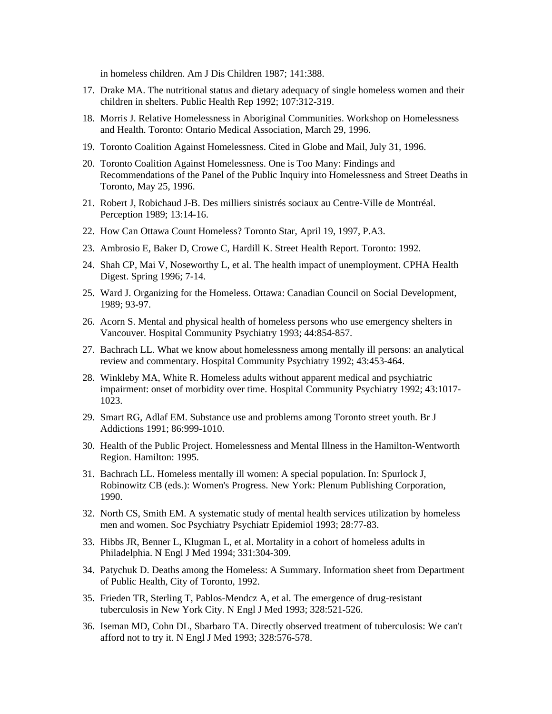in homeless children. Am J Dis Children 1987; 141:388.

- 17. Drake MA. The nutritional status and dietary adequacy of single homeless women and their children in shelters. Public Health Rep 1992; 107:312-319.
- 18. Morris J. Relative Homelessness in Aboriginal Communities. Workshop on Homelessness and Health. Toronto: Ontario Medical Association, March 29, 1996.
- 19. Toronto Coalition Against Homelessness. Cited in Globe and Mail, July 31, 1996.
- 20. Toronto Coalition Against Homelessness. One is Too Many: Findings and Recommendations of the Panel of the Public Inquiry into Homelessness and Street Deaths in Toronto, May 25, 1996.
- 21. Robert J, Robichaud J-B. Des milliers sinistrés sociaux au Centre-Ville de Montréal. Perception 1989; 13:14-16.
- 22. How Can Ottawa Count Homeless? Toronto Star, April 19, 1997, P.A3.
- 23. Ambrosio E, Baker D, Crowe C, Hardill K. Street Health Report. Toronto: 1992.
- 24. Shah CP, Mai V, Noseworthy L, et al. The health impact of unemployment. CPHA Health Digest. Spring 1996; 7-14.
- 25. Ward J. Organizing for the Homeless. Ottawa: Canadian Council on Social Development, 1989; 93-97.
- 26. Acorn S. Mental and physical health of homeless persons who use emergency shelters in Vancouver. Hospital Community Psychiatry 1993; 44:854-857.
- 27. Bachrach LL. What we know about homelessness among mentally ill persons: an analytical review and commentary. Hospital Community Psychiatry 1992; 43:453-464.
- 28. Winkleby MA, White R. Homeless adults without apparent medical and psychiatric impairment: onset of morbidity over time. Hospital Community Psychiatry 1992; 43:1017- 1023.
- 29. Smart RG, Adlaf EM. Substance use and problems among Toronto street youth. Br J Addictions 1991; 86:999-1010.
- 30. Health of the Public Project. Homelessness and Mental Illness in the Hamilton-Wentworth Region. Hamilton: 1995.
- 31. Bachrach LL. Homeless mentally ill women: A special population. In: Spurlock J, Robinowitz CB (eds.): Women's Progress. New York: Plenum Publishing Corporation, 1990.
- 32. North CS, Smith EM. A systematic study of mental health services utilization by homeless men and women. Soc Psychiatry Psychiatr Epidemiol 1993; 28:77-83.
- 33. Hibbs JR, Benner L, Klugman L, et al. Mortality in a cohort of homeless adults in Philadelphia. N Engl J Med 1994; 331:304-309.
- 34. Patychuk D. Deaths among the Homeless: A Summary. Information sheet from Department of Public Health, City of Toronto, 1992.
- 35. Frieden TR, Sterling T, Pablos-Mendcz A, et al. The emergence of drug-resistant tuberculosis in New York City. N Engl J Med 1993; 328:521-526.
- 36. Iseman MD, Cohn DL, Sbarbaro TA. Directly observed treatment of tuberculosis: We can't afford not to try it. N Engl J Med 1993; 328:576-578.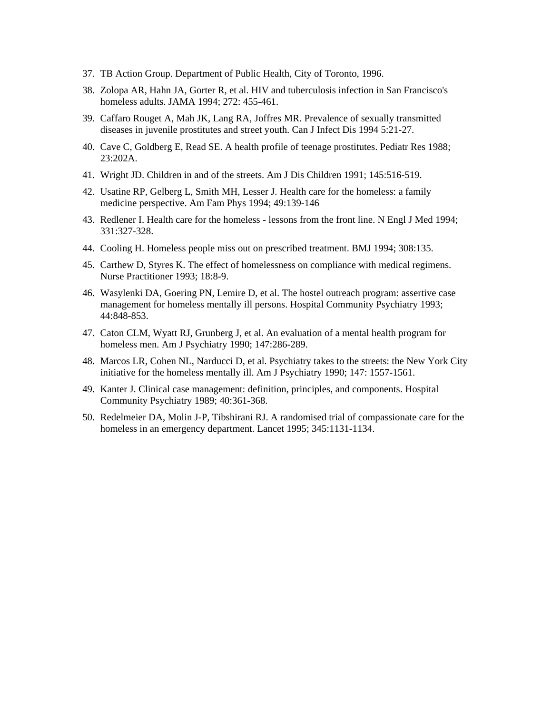- 37. TB Action Group. Department of Public Health, City of Toronto, 1996.
- 38. Zolopa AR, Hahn JA, Gorter R, et al. HIV and tuberculosis infection in San Francisco's homeless adults. JAMA 1994; 272: 455-461.
- 39. Caffaro Rouget A, Mah JK, Lang RA, Joffres MR. Prevalence of sexually transmitted diseases in juvenile prostitutes and street youth. Can J Infect Dis 1994 5:21-27.
- 40. Cave C, Goldberg E, Read SE. A health profile of teenage prostitutes. Pediatr Res 1988; 23:202A.
- 41. Wright JD. Children in and of the streets. Am J Dis Children 1991; 145:516-519.
- 42. Usatine RP, Gelberg L, Smith MH, Lesser J. Health care for the homeless: a family medicine perspective. Am Fam Phys 1994; 49:139-146
- 43. Redlener I. Health care for the homeless lessons from the front line. N Engl J Med 1994; 331:327-328.
- 44. Cooling H. Homeless people miss out on prescribed treatment. BMJ 1994; 308:135.
- 45. Carthew D, Styres K. The effect of homelessness on compliance with medical regimens. Nurse Practitioner 1993; 18:8-9.
- 46. Wasylenki DA, Goering PN, Lemire D, et al. The hostel outreach program: assertive case management for homeless mentally ill persons. Hospital Community Psychiatry 1993; 44:848-853.
- 47. Caton CLM, Wyatt RJ, Grunberg J, et al. An evaluation of a mental health program for homeless men. Am J Psychiatry 1990; 147:286-289.
- 48. Marcos LR, Cohen NL, Narducci D, et al. Psychiatry takes to the streets: the New York City initiative for the homeless mentally ill. Am J Psychiatry 1990; 147: 1557-1561.
- 49. Kanter J. Clinical case management: definition, principles, and components. Hospital Community Psychiatry 1989; 40:361-368.
- 50. Redelmeier DA, Molin J-P, Tibshirani RJ. A randomised trial of compassionate care for the homeless in an emergency department. Lancet 1995; 345:1131-1134.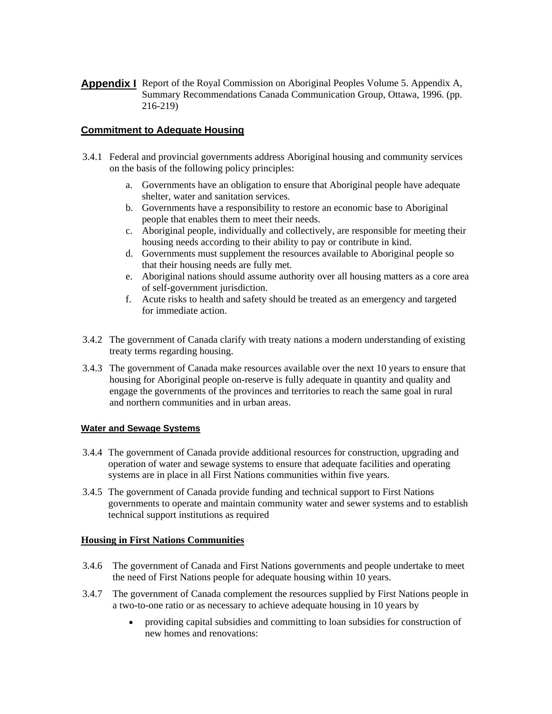**Appendix I** Report of the Royal Commission on Aboriginal Peoples Volume 5. Appendix A, Summary Recommendations Canada Communication Group, Ottawa, 1996. (pp. 216-219)

## **Commitment to Adequate Housing**

- 3.4.1 Federal and provincial governments address Aboriginal housing and community services on the basis of the following policy principles:
	- a. Governments have an obligation to ensure that Aboriginal people have adequate shelter, water and sanitation services.
	- b. Governments have a responsibility to restore an economic base to Aboriginal people that enables them to meet their needs.
	- c. Aboriginal people, individually and collectively, are responsible for meeting their housing needs according to their ability to pay or contribute in kind.
	- d. Governments must supplement the resources available to Aboriginal people so that their housing needs are fully met.
	- e. Aboriginal nations should assume authority over all housing matters as a core area of self-government jurisdiction.
	- f. Acute risks to health and safety should be treated as an emergency and targeted for immediate action.
- 3.4.2 The government of Canada clarify with treaty nations a modern understanding of existing treaty terms regarding housing.
- 3.4.3 The government of Canada make resources available over the next 10 years to ensure that housing for Aboriginal people on-reserve is fully adequate in quantity and quality and engage the governments of the provinces and territories to reach the same goal in rural and northern communities and in urban areas.

#### **Water and Sewage Systems**

- 3.4.4 The government of Canada provide additional resources for construction, upgrading and operation of water and sewage systems to ensure that adequate facilities and operating systems are in place in all First Nations communities within five years.
- 3.4.5 The government of Canada provide funding and technical support to First Nations governments to operate and maintain community water and sewer systems and to establish technical support institutions as required

#### **Housing in First Nations Communities**

- 3.4.6 The government of Canada and First Nations governments and people undertake to meet the need of First Nations people for adequate housing within 10 years.
- 3.4.7 The government of Canada complement the resources supplied by First Nations people in a two-to-one ratio or as necessary to achieve adequate housing in 10 years by
	- providing capital subsidies and committing to loan subsidies for construction of new homes and renovations: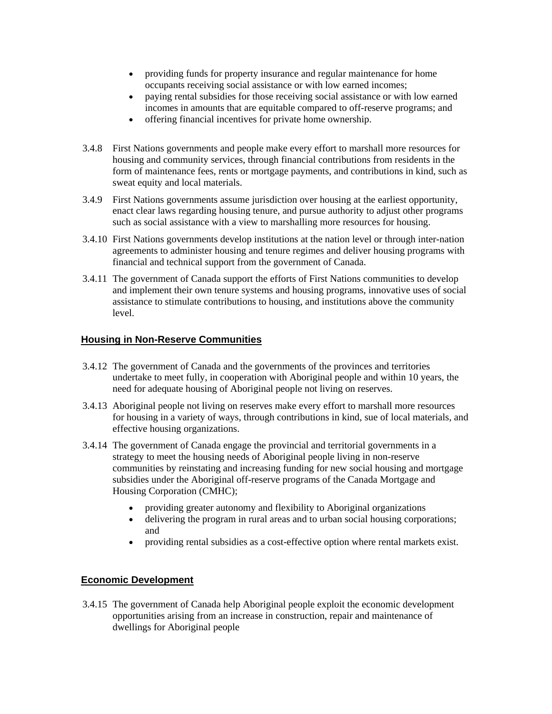- providing funds for property insurance and regular maintenance for home occupants receiving social assistance or with low earned incomes;
- paying rental subsidies for those receiving social assistance or with low earned incomes in amounts that are equitable compared to off-reserve programs; and
- offering financial incentives for private home ownership.
- 3.4.8 First Nations governments and people make every effort to marshall more resources for housing and community services, through financial contributions from residents in the form of maintenance fees, rents or mortgage payments, and contributions in kind, such as sweat equity and local materials.
- 3.4.9 First Nations governments assume jurisdiction over housing at the earliest opportunity, enact clear laws regarding housing tenure, and pursue authority to adjust other programs such as social assistance with a view to marshalling more resources for housing.
- 3.4.10 First Nations governments develop institutions at the nation level or through inter-nation agreements to administer housing and tenure regimes and deliver housing programs with financial and technical support from the government of Canada.
- 3.4.11 The government of Canada support the efforts of First Nations communities to develop and implement their own tenure systems and housing programs, innovative uses of social assistance to stimulate contributions to housing, and institutions above the community level.

#### **Housing in Non-Reserve Communities**

- 3.4.12 The government of Canada and the governments of the provinces and territories undertake to meet fully, in cooperation with Aboriginal people and within 10 years, the need for adequate housing of Aboriginal people not living on reserves.
- 3.4.13 Aboriginal people not living on reserves make every effort to marshall more resources for housing in a variety of ways, through contributions in kind, sue of local materials, and effective housing organizations.
- 3.4.14 The government of Canada engage the provincial and territorial governments in a strategy to meet the housing needs of Aboriginal people living in non-reserve communities by reinstating and increasing funding for new social housing and mortgage subsidies under the Aboriginal off-reserve programs of the Canada Mortgage and Housing Corporation (CMHC);
	- providing greater autonomy and flexibility to Aboriginal organizations
	- delivering the program in rural areas and to urban social housing corporations; and
	- providing rental subsidies as a cost-effective option where rental markets exist.

## **Economic Development**

3.4.15 The government of Canada help Aboriginal people exploit the economic development opportunities arising from an increase in construction, repair and maintenance of dwellings for Aboriginal people